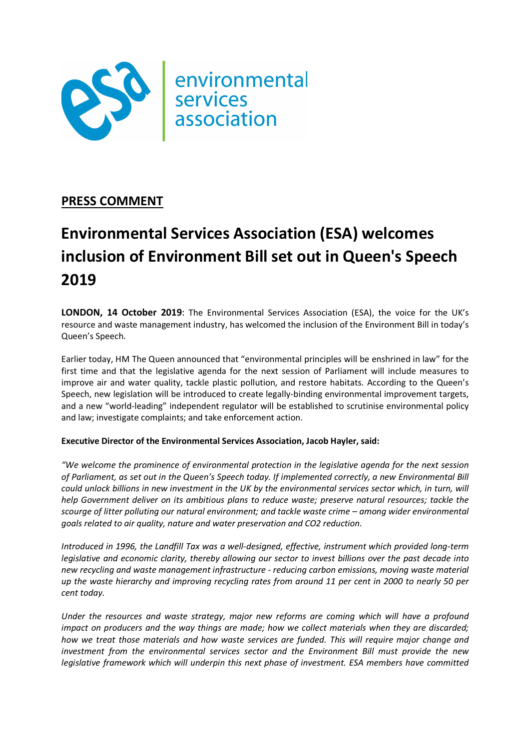

# PRESS COMMENT

# Environmental Services Association (ESA) welcomes inclusion of Environment Bill set out in Queen's Speech 2019

LONDON, 14 October 2019: The Environmental Services Association (ESA), the voice for the UK's resource and waste management industry, has welcomed the inclusion of the Environment Bill in today's Queen's Speech.

Earlier today, HM The Queen announced that "environmental principles will be enshrined in law" for the first time and that the legislative agenda for the next session of Parliament will include measures to improve air and water quality, tackle plastic pollution, and restore habitats. According to the Queen's Speech, new legislation will be introduced to create legally-binding environmental improvement targets, and a new "world-leading" independent regulator will be established to scrutinise environmental policy and law; investigate complaints; and take enforcement action.

# Executive Director of the Environmental Services Association, Jacob Hayler, said:

"We welcome the prominence of environmental protection in the legislative agenda for the next session of Parliament, as set out in the Queen's Speech today. If implemented correctly, a new Environmental Bill could unlock billions in new investment in the UK by the environmental services sector which, in turn, will help Government deliver on its ambitious plans to reduce waste; preserve natural resources; tackle the scourge of litter polluting our natural environment; and tackle waste crime – among wider environmental goals related to air quality, nature and water preservation and CO2 reduction.

Introduced in 1996, the Landfill Tax was a well-designed, effective, instrument which provided long-term legislative and economic clarity, thereby allowing our sector to invest billions over the past decade into new recycling and waste management infrastructure - reducing carbon emissions, moving waste material up the waste hierarchy and improving recycling rates from around 11 per cent in 2000 to nearly 50 per cent today.

Under the resources and waste strategy, major new reforms are coming which will have a profound impact on producers and the way things are made; how we collect materials when they are discarded; how we treat those materials and how waste services are funded. This will require major change and investment from the environmental services sector and the Environment Bill must provide the new legislative framework which will underpin this next phase of investment. ESA members have committed